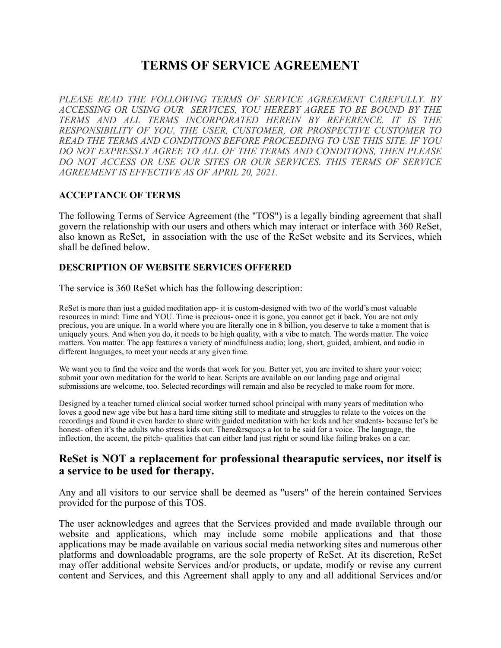# **TERMS OF SERVICE AGREEMENT**

*PLEASE READ THE FOLLOWING TERMS OF SERVICE AGREEMENT CAREFULLY. BY ACCESSING OR USING OUR SERVICES, YOU HEREBY AGREE TO BE BOUND BY THE TERMS AND ALL TERMS INCORPORATED HEREIN BY REFERENCE. IT IS THE RESPONSIBILITY OF YOU, THE USER, CUSTOMER, OR PROSPECTIVE CUSTOMER TO READ THE TERMS AND CONDITIONS BEFORE PROCEEDING TO USE THIS SITE. IF YOU DO NOT EXPRESSLY AGREE TO ALL OF THE TERMS AND CONDITIONS, THEN PLEASE DO NOT ACCESS OR USE OUR SITES OR OUR SERVICES. THIS TERMS OF SERVICE AGREEMENT IS EFFECTIVE AS OF APRIL 20, 2021.*

#### **ACCEPTANCE OF TERMS**

The following Terms of Service Agreement (the "TOS") is a legally binding agreement that shall govern the relationship with our users and others which may interact or interface with 360 ReSet, also known as ReSet, in association with the use of the ReSet website and its Services, which shall be defined below.

## **DESCRIPTION OF WEBSITE SERVICES OFFERED**

The service is 360 ReSet which has the following description:

ReSet is more than just a guided meditation app- it is custom-designed with two of the world's most valuable resources in mind: Time and YOU. Time is precious- once it is gone, you cannot get it back. You are not only precious, you are unique. In a world where you are literally one in 8 billion, you deserve to take a moment that is uniquely yours. And when you do, it needs to be high quality, with a vibe to match. The words matter. The voice matters. You matter. The app features a variety of mindfulness audio; long, short, guided, ambient, and audio in different languages, to meet your needs at any given time.

We want you to find the voice and the words that work for you. Better yet, you are invited to share your voice; submit your own meditation for the world to hear. Scripts are available on our landing page and original submissions are welcome, too. Selected recordings will remain and also be recycled to make room for more.

Designed by a teacher turned clinical social worker turned school principal with many years of meditation who loves a good new age vibe but has a hard time sitting still to meditate and struggles to relate to the voices on the recordings and found it even harder to share with guided meditation with her kids and her students- because let's be honest- often it's the adults who stress kids out. There & rsquo; s a lot to be said for a voice. The language, the inflection, the accent, the pitch- qualities that can either land just right or sound like failing brakes on a car.

# **ReSet is NOT a replacement for professional thearaputic services, nor itself is a service to be used for therapy.**

Any and all visitors to our service shall be deemed as "users" of the herein contained Services provided for the purpose of this TOS.

The user acknowledges and agrees that the Services provided and made available through our website and applications, which may include some mobile applications and that those applications may be made available on various social media networking sites and numerous other platforms and downloadable programs, are the sole property of ReSet. At its discretion, ReSet may offer additional website Services and/or products, or update, modify or revise any current content and Services, and this Agreement shall apply to any and all additional Services and/or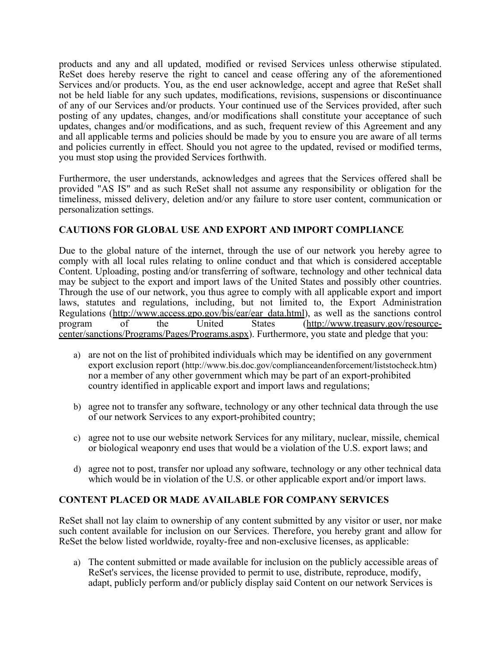products and any and all updated, modified or revised Services unless otherwise stipulated. ReSet does hereby reserve the right to cancel and cease offering any of the aforementioned Services and/or products. You, as the end user acknowledge, accept and agree that ReSet shall not be held liable for any such updates, modifications, revisions, suspensions or discontinuance of any of our Services and/or products. Your continued use of the Services provided, after such posting of any updates, changes, and/or modifications shall constitute your acceptance of such updates, changes and/or modifications, and as such, frequent review of this Agreement and any and all applicable terms and policies should be made by you to ensure you are aware of all terms and policies currently in effect. Should you not agree to the updated, revised or modified terms, you must stop using the provided Services forthwith.

Furthermore, the user understands, acknowledges and agrees that the Services offered shall be provided "AS IS" and as such ReSet shall not assume any responsibility or obligation for the timeliness, missed delivery, deletion and/or any failure to store user content, communication or personalization settings.

# **CAUTIONS FOR GLOBAL USE AND EXPORT AND IMPORT COMPLIANCE**

Due to the global nature of the internet, through the use of our network you hereby agree to comply with all local rules relating to online conduct and that which is considered acceptable Content. Uploading, posting and/or transferring of software, technology and other technical data may be subject to the export and import laws of the United States and possibly other countries. Through the use of our network, you thus agree to comply with all applicable export and import laws, statutes and regulations, including, but not limited to, the Export Administration Regulations ([http://www.access.gpo.gov/bis/ear/ear\\_data.html](http://www.access.gpo.gov/bis/ear/ear_data.html)), as well as the sanctions control<br>program of the United States (http://www.treasury.gov/resourceprogram of the United States ([http://www.treasury.gov/resource](http://www.treasury.gov/resource-center/sanctions/Programs/Pages/Programs.aspx)[center/sanctions/Programs/Pages/Programs.aspx](http://www.treasury.gov/resource-center/sanctions/Programs/Pages/Programs.aspx)). Furthermore, you state and pledge that you:

- a) are not on the list of prohibited individuals which may be identified on any government export exclusion report (<http://www.bis.doc.gov/complianceandenforcement/liststocheck.htm>) nor a member of any other government which may be part of an export-prohibited country identified in applicable export and import laws and regulations;
- b) agree not to transfer any software, technology or any other technical data through the use of our network Services to any export-prohibited country;
- c) agree not to use our website network Services for any military, nuclear, missile, chemical or biological weaponry end uses that would be a violation of the U.S. export laws; and
- d) agree not to post, transfer nor upload any software, technology or any other technical data which would be in violation of the U.S. or other applicable export and/or import laws.

## **CONTENT PLACED OR MADE AVAILABLE FOR COMPANY SERVICES**

ReSet shall not lay claim to ownership of any content submitted by any visitor or user, nor make such content available for inclusion on our Services. Therefore, you hereby grant and allow for ReSet the below listed worldwide, royalty-free and non-exclusive licenses, as applicable:

a) The content submitted or made available for inclusion on the publicly accessible areas of ReSet's services, the license provided to permit to use, distribute, reproduce, modify, adapt, publicly perform and/or publicly display said Content on our network Services is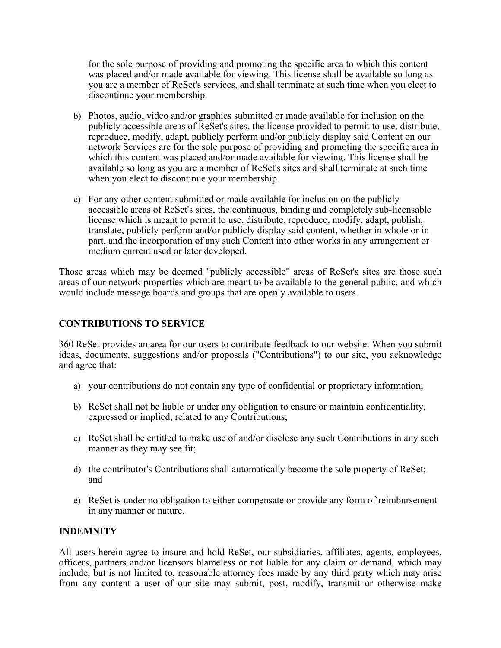for the sole purpose of providing and promoting the specific area to which this content was placed and/or made available for viewing. This license shall be available so long as you are a member of ReSet's services, and shall terminate at such time when you elect to discontinue your membership.

- b) Photos, audio, video and/or graphics submitted or made available for inclusion on the publicly accessible areas of ReSet's sites, the license provided to permit to use, distribute, reproduce, modify, adapt, publicly perform and/or publicly display said Content on our network Services are for the sole purpose of providing and promoting the specific area in which this content was placed and/or made available for viewing. This license shall be available so long as you are a member of ReSet's sites and shall terminate at such time when you elect to discontinue your membership.
- c) For any other content submitted or made available for inclusion on the publicly accessible areas of ReSet's sites, the continuous, binding and completely sub-licensable license which is meant to permit to use, distribute, reproduce, modify, adapt, publish, translate, publicly perform and/or publicly display said content, whether in whole or in part, and the incorporation of any such Content into other works in any arrangement or medium current used or later developed.

Those areas which may be deemed "publicly accessible" areas of ReSet's sites are those such areas of our network properties which are meant to be available to the general public, and which would include message boards and groups that are openly available to users.

## **CONTRIBUTIONS TO SERVICE**

360 ReSet provides an area for our users to contribute feedback to our website. When you submit ideas, documents, suggestions and/or proposals ("Contributions") to our site, you acknowledge and agree that:

- a) your contributions do not contain any type of confidential or proprietary information;
- b) ReSet shall not be liable or under any obligation to ensure or maintain confidentiality, expressed or implied, related to any Contributions;
- c) ReSet shall be entitled to make use of and/or disclose any such Contributions in any such manner as they may see fit;
- d) the contributor's Contributions shall automatically become the sole property of ReSet; and
- e) ReSet is under no obligation to either compensate or provide any form of reimbursement in any manner or nature.

## **INDEMNITY**

All users herein agree to insure and hold ReSet, our subsidiaries, affiliates, agents, employees, officers, partners and/or licensors blameless or not liable for any claim or demand, which may include, but is not limited to, reasonable attorney fees made by any third party which may arise from any content a user of our site may submit, post, modify, transmit or otherwise make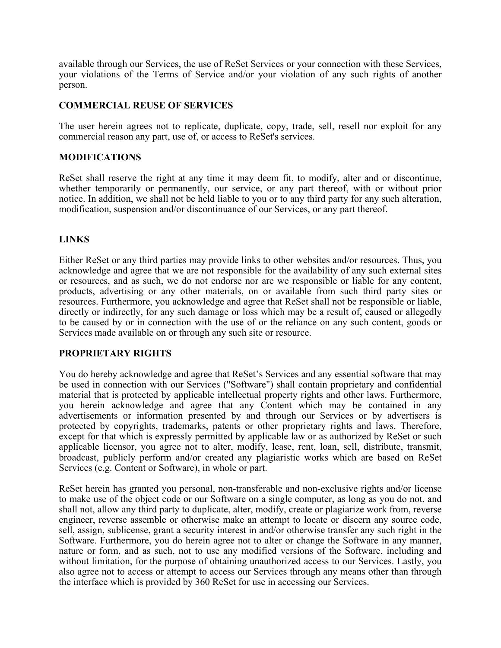available through our Services, the use of ReSet Services or your connection with these Services, your violations of the Terms of Service and/or your violation of any such rights of another person.

#### **COMMERCIAL REUSE OF SERVICES**

The user herein agrees not to replicate, duplicate, copy, trade, sell, resell nor exploit for any commercial reason any part, use of, or access to ReSet's services.

## **MODIFICATIONS**

ReSet shall reserve the right at any time it may deem fit, to modify, alter and or discontinue, whether temporarily or permanently, our service, or any part thereof, with or without prior notice. In addition, we shall not be held liable to you or to any third party for any such alteration, modification, suspension and/or discontinuance of our Services, or any part thereof.

## **LINKS**

Either ReSet or any third parties may provide links to other websites and/or resources. Thus, you acknowledge and agree that we are not responsible for the availability of any such external sites or resources, and as such, we do not endorse nor are we responsible or liable for any content, products, advertising or any other materials, on or available from such third party sites or resources. Furthermore, you acknowledge and agree that ReSet shall not be responsible or liable, directly or indirectly, for any such damage or loss which may be a result of, caused or allegedly to be caused by or in connection with the use of or the reliance on any such content, goods or Services made available on or through any such site or resource.

## **PROPRIETARY RIGHTS**

You do hereby acknowledge and agree that ReSet's Services and any essential software that may be used in connection with our Services ("Software") shall contain proprietary and confidential material that is protected by applicable intellectual property rights and other laws. Furthermore, you herein acknowledge and agree that any Content which may be contained in any advertisements or information presented by and through our Services or by advertisers is protected by copyrights, trademarks, patents or other proprietary rights and laws. Therefore, except for that which is expressly permitted by applicable law or as authorized by ReSet or such applicable licensor, you agree not to alter, modify, lease, rent, loan, sell, distribute, transmit, broadcast, publicly perform and/or created any plagiaristic works which are based on ReSet Services (e.g. Content or Software), in whole or part.

ReSet herein has granted you personal, non-transferable and non-exclusive rights and/or license to make use of the object code or our Software on a single computer, as long as you do not, and shall not, allow any third party to duplicate, alter, modify, create or plagiarize work from, reverse engineer, reverse assemble or otherwise make an attempt to locate or discern any source code, sell, assign, sublicense, grant a security interest in and/or otherwise transfer any such right in the Software. Furthermore, you do herein agree not to alter or change the Software in any manner, nature or form, and as such, not to use any modified versions of the Software, including and without limitation, for the purpose of obtaining unauthorized access to our Services. Lastly, you also agree not to access or attempt to access our Services through any means other than through the interface which is provided by 360 ReSet for use in accessing our Services.